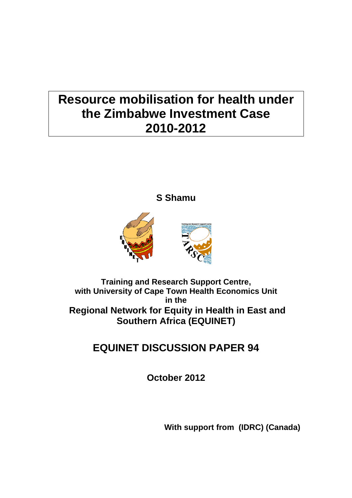# **Resource mobilisation for health under the Zimbabwe Investment Case 2010-2012**

**S Shamu** 



# **Training and Research Support Centre, with University of Cape Town Health Economics Unit in the Regional Network for Equity in Health in East and Southern Africa (EQUINET)**

# **EQUINET DISCUSSION PAPER 94**

**October 2012** 

**With support from (IDRC) (Canada)**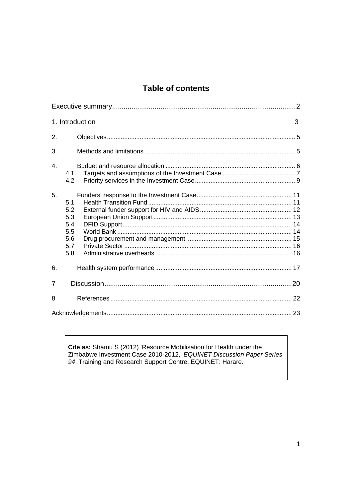## **Table of contents**

|                | 1. Introduction                                      | 3 |
|----------------|------------------------------------------------------|---|
| 2.             |                                                      |   |
| 3.             |                                                      |   |
| $\overline{4}$ | 4.1<br>4.2                                           |   |
| 5.             | 5.1<br>5.2<br>5.3<br>5.4<br>5.5<br>5.6<br>5.7<br>5.8 |   |
| 6.             |                                                      |   |
| $\overline{7}$ |                                                      |   |
| 8              |                                                      |   |
|                |                                                      |   |

Cite as: Shamu S (2012) 'Resource Mobilisation for Health under the Zimbabwe Investment Case 2010-2012,' EQUINET Discussion Paper Series 94. Training and Research Support Centre, EQUINET: Harare.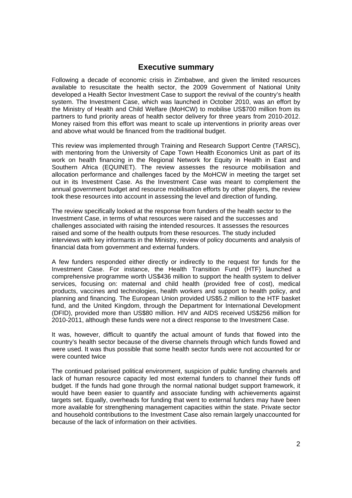### **Executive summary**

Following a decade of economic crisis in Zimbabwe, and given the limited resources available to resuscitate the health sector, the 2009 Government of National Unity developed a Health Sector Investment Case to support the revival of the country's health system. The Investment Case, which was launched in October 2010, was an effort by the Ministry of Health and Child Welfare (MoHCW) to mobilise US\$700 million from its partners to fund priority areas of health sector delivery for three years from 2010-2012. Money raised from this effort was meant to scale up interventions in priority areas over and above what would be financed from the traditional budget.

This review was implemented through Training and Research Support Centre (TARSC), with mentoring from the University of Cape Town Health Economics Unit as part of its work on health financing in the Regional Network for Equity in Health in East and Southern Africa (EQUINET). The review assesses the resource mobilisation and allocation performance and challenges faced by the MoHCW in meeting the target set out in its Investment Case. As the Investment Case was meant to complement the annual government budget and resource mobilisation efforts by other players, the review took these resources into account in assessing the level and direction of funding.

The review specifically looked at the response from funders of the health sector to the Investment Case, in terms of what resources were raised and the successes and challenges associated with raising the intended resources. It assesses the resources raised and some of the health outputs from these resources. The study included interviews with key informants in the Ministry, review of policy documents and analysis of financial data from government and external funders.

A few funders responded either directly or indirectly to the request for funds for the Investment Case. For instance, the Health Transition Fund (HTF) launched a comprehensive programme worth US\$436 million to support the health system to deliver services, focusing on: maternal and child health (provided free of cost), medical products, vaccines and technologies, health workers and support to health policy, and planning and financing. The European Union provided US\$5.2 million to the HTF basket fund, and the United Kingdom, through the Department for International Development (DFID), provided more than US\$80 million. HIV and AIDS received US\$256 million for 2010-2011, although these funds were not a direct response to the Investment Case.

It was, however, difficult to quantify the actual amount of funds that flowed into the country's health sector because of the diverse channels through which funds flowed and were used. It was thus possible that some health sector funds were not accounted for or were counted twice

The continued polarised political environment, suspicion of public funding channels and lack of human resource capacity led most external funders to channel their funds off budget. If the funds had gone through the normal national budget support framework, it would have been easier to quantify and associate funding with achievements against targets set. Equally, overheads for funding that went to external funders may have been more available for strengthening management capacities within the state. Private sector and household contributions to the Investment Case also remain largely unaccounted for because of the lack of information on their activities.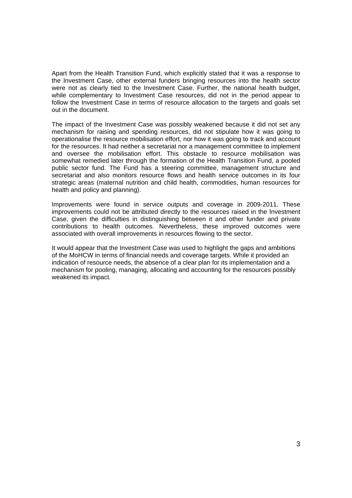Apart from the Health Transition Fund, which explicitly stated that it was a response to the Investment Case, other external funders bringing resources into the health sector were not as clearly tied to the Investment Case. Further, the national health budget, while complementary to Investment Case resources, did not in the period appear to follow the Investment Case in terms of resource allocation to the targets and goals set out in the document.

The impact of the Investment Case was possibly weakened because it did not set any mechanism for raising and spending resources, did not stipulate how it was going to operationalise the resource mobilisation effort, nor how it was going to track and account for the resources. It had neither a secretariat nor a management committee to implement and oversee the mobilisation effort. This obstacle to resource mobilisation was somewhat remedied later through the formation of the Health Transition Fund, a pooled public sector fund. The Fund has a steering committee, management structure and secretariat and also monitors resource flows and health service outcomes in its four strategic areas (maternal nutrition and child health, commodities, human resources for health and policy and planning).

Improvements were found in service outputs and coverage in 2009-2011. These improvements could not be attributed directly to the resources raised in the Investment Case, given the difficulties in distinguishing between it and other funder and private contributions to health outcomes. Nevertheless, these improved outcomes were associated with overall improvements in resources flowing to the sector.

It would appear that the Investment Case was used to highlight the gaps and ambitions of the MoHCW in terms of financial needs and coverage targets. While it provided an indication of resource needs, the absence of a clear plan for its implementation and a mechanism for pooling, managing, allocating and accounting for the resources possibly weakened its impact.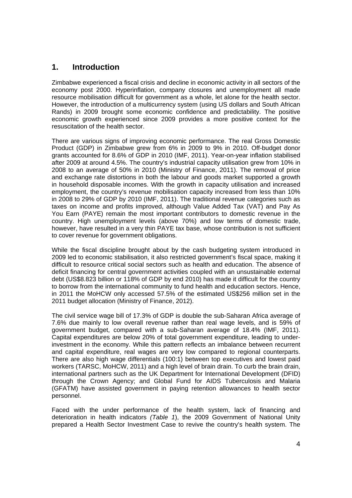### **1. Introduction**

Zimbabwe experienced a fiscal crisis and decline in economic activity in all sectors of the economy post 2000. Hyperinflation, company closures and unemployment all made resource mobilisation difficult for government as a whole, let alone for the health sector. However, the introduction of a multicurrency system (using US dollars and South African Rands) in 2009 brought some economic confidence and predictability. The positive economic growth experienced since 2009 provides a more positive context for the resuscitation of the health sector.

There are various signs of improving economic performance. The real Gross Domestic Product (GDP) in Zimbabwe grew from 6% in 2009 to 9% in 2010. Off-budget donor grants accounted for 8.6% of GDP in 2010 (IMF, 2011). Year-on-year inflation stabilised after 2009 at around 4.5%. The country's industrial capacity utilisation grew from 10% in 2008 to an average of 50% in 2010 (Ministry of Finance, 2011). The removal of price and exchange rate distortions in both the labour and goods market supported a growth in household disposable incomes. With the growth in capacity utilisation and increased employment, the country's revenue mobilisation capacity increased from less than 10% in 2008 to 29% of GDP by 2010 (IMF, 2011). The traditional revenue categories such as taxes on income and profits improved, although Value Added Tax (VAT) and Pay As You Earn (PAYE) remain the most important contributors to domestic revenue in the country. High unemployment levels (above 70%) and low terms of domestic trade, however, have resulted in a very thin PAYE tax base, whose contribution is not sufficient to cover revenue for government obligations.

While the fiscal discipline brought about by the cash budgeting system introduced in 2009 led to economic stabilisation, it also restricted government's fiscal space, making it difficult to resource critical social sectors such as health and education. The absence of deficit financing for central government activities coupled with an unsustainable external debt (US\$8.823 billion or 118% of GDP by end 2010) has made it difficult for the country to borrow from the international community to fund health and education sectors. Hence, in 2011 the MoHCW only accessed 57.5% of the estimated US\$256 million set in the 2011 budget allocation (Ministry of Finance, 2012).

The civil service wage bill of 17.3% of GDP is double the sub-Saharan Africa average of 7.6% due mainly to low overall revenue rather than real wage levels, and is 59% of government budget, compared with a sub-Saharan average of 18.4% (IMF, 2011). Capital expenditures are below 20% of total government expenditure, leading to underinvestment in the economy. While this pattern reflects an imbalance between recurrent and capital expenditure, real wages are very low compared to regional counterparts. There are also high wage differentials (100:1) between top executives and lowest paid workers (TARSC, MoHCW, 2011) and a high level of brain drain. To curb the brain drain, international partners such as the UK Department for International Development (DFID) through the Crown Agency; and Global Fund for AIDS Tuberculosis and Malaria (GFATM) have assisted government in paying retention allowances to health sector personnel.

Faced with the under performance of the health system, lack of financing and deterioration in health indicators *(Table 1*), the 2009 Government of National Unity prepared a Health Sector Investment Case to revive the country's health system. The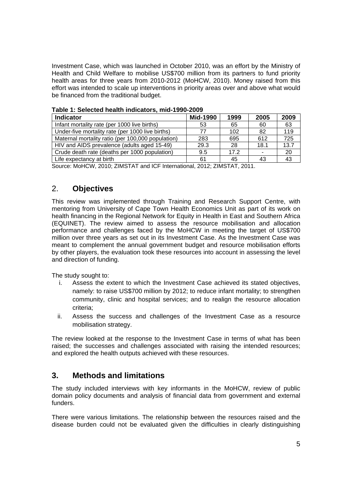Investment Case, which was launched in October 2010, was an effort by the Ministry of Health and Child Welfare to mobilise US\$700 million from its partners to fund priority health areas for three years from 2010-2012 (MoHCW, 2010). Money raised from this effort was intended to scale up interventions in priority areas over and above what would be financed from the traditional budget.

| <b>Indicator</b>                                  | Mid-1990 | 1999 | 2005 | 2009 |
|---------------------------------------------------|----------|------|------|------|
| Infant mortality rate (per 1000 live births)      | 53       | 65   | 60   | 63   |
| Under-five mortality rate (per 1000 live births)  | 77       | 102  | 82   | 119  |
| Maternal mortality ratio (per 100,000 population) | 283      | 695  | 612  | 725  |
| HIV and AIDS prevalence (adults aged 15-49)       | 29.3     | 28   | 18.1 | 13.7 |
| Crude death rate (deaths per 1000 population)     | 9.5      | 17.2 |      | 20   |
| Life expectancy at birth                          | 61       | 45   | 43   | 43   |
| $\cdots$<br>$\sim$<br>$\sim$ $\sim$ $\sim$        | $\cdots$ |      |      |      |

|  | Table 1: Selected health indicators, mid-1990-2009 |
|--|----------------------------------------------------|
|--|----------------------------------------------------|

Source: MoHCW, 2010; ZIMSTAT and ICF International, 2012; ZIMSTAT, 2011.

### 2. **Objectives**

This review was implemented through Training and Research Support Centre, with mentoring from University of Cape Town Health Economics Unit as part of its work on health financing in the Regional Network for Equity in Health in East and Southern Africa (EQUINET). The review aimed to assess the resource mobilisation and allocation performance and challenges faced by the MoHCW in meeting the target of US\$700 million over three years as set out in its Investment Case. As the Investment Case was meant to complement the annual government budget and resource mobilisation efforts by other players, the evaluation took these resources into account in assessing the level and direction of funding.

The study sought to:

- i. Assess the extent to which the Investment Case achieved its stated objectives, namely: to raise US\$700 million by 2012; to reduce infant mortality; to strengthen community, clinic and hospital services; and to realign the resource allocation criteria;
- ii. Assess the success and challenges of the Investment Case as a resource mobilisation strategy.

The review looked at the response to the Investment Case in terms of what has been raised; the successes and challenges associated with raising the intended resources; and explored the health outputs achieved with these resources.

### **3. Methods and limitations**

The study included interviews with key informants in the MoHCW, review of public domain policy documents and analysis of financial data from government and external funders.

There were various limitations. The relationship between the resources raised and the disease burden could not be evaluated given the difficulties in clearly distinguishing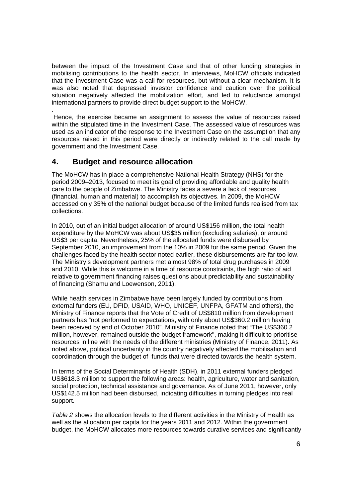between the impact of the Investment Case and that of other funding strategies in mobilising contributions to the health sector. In interviews, MoHCW officials indicated that the Investment Case was a call for resources, but without a clear mechanism. It is was also noted that depressed investor confidence and caution over the political situation negatively affected the mobilization effort, and led to reluctance amongst international partners to provide direct budget support to the MoHCW.

. Hence, the exercise became an assignment to assess the value of resources raised within the stipulated time in the Investment Case. The assessed value of resources was used as an indicator of the response to the Investment Case on the assumption that any resources raised in this period were directly or indirectly related to the call made by government and the Investment Case.

### **4. Budget and resource allocation**

The MoHCW has in place a comprehensive National Health Strategy (NHS) for the period 2009–2013, focused to meet its goal of providing affordable and quality health care to the people of Zimbabwe. The Ministry faces a severe a lack of resources (financial, human and material) to accomplish its objectives. In 2009, the MoHCW accessed only 35% of the national budget because of the limited funds realised from tax collections.

In 2010, out of an initial budget allocation of around US\$156 million, the total health expenditure by the MoHCW was about US\$35 million (excluding salaries), or around US\$3 per capita. Nevertheless, 25% of the allocated funds were disbursed by September 2010, an improvement from the 10% in 2009 for the same period. Given the challenges faced by the health sector noted earlier, these disbursements are far too low. The Ministry's development partners met almost 98% of total drug purchases in 2009 and 2010. While this is welcome in a time of resource constraints, the high ratio of aid relative to government financing raises questions about predictability and sustainability of financing (Shamu and Loewenson, 2011).

While health services in Zimbabwe have been largely funded by contributions from external funders (EU, DFID, USAID, WHO, UNICEF, UNFPA, GFATM and others), the Ministry of Finance reports that the Vote of Credit of US\$810 million from development partners has "not performed to expectations, with only about US\$360.2 million having been received by end of October 2010". Ministry of Finance noted that "The US\$360.2 million, however, remained outside the budget framework", making it difficult to prioritise resources in line with the needs of the different ministries (Ministry of Finance, 2011). As noted above, political uncertainty in the country negatively affected the mobilisation and coordination through the budget of funds that were directed towards the health system.

In terms of the Social Determinants of Health (SDH), in 2011 external funders pledged US\$618.3 million to support the following areas: health, agriculture, water and sanitation, social protection, technical assistance and governance. As of June 2011, however, only US\$142.5 million had been disbursed, indicating difficulties in turning pledges into real support.

*Table 2* shows the allocation levels to the different activities in the Ministry of Health as well as the allocation per capita for the years 2011 and 2012. Within the government budget, the MoHCW allocates more resources towards curative services and significantly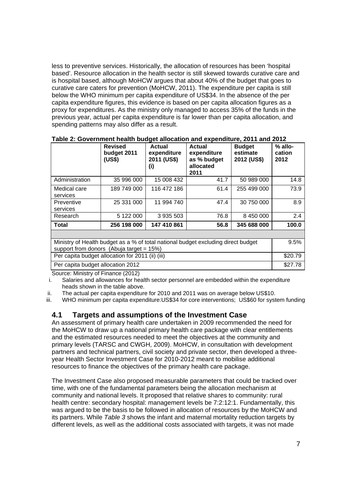less to preventive services. Historically, the allocation of resources has been 'hospital based'. Resource allocation in the health sector is still skewed towards curative care and is hospital based, although MoHCW argues that about 40% of the budget that goes to curative care caters for prevention (MoHCW, 2011). The expenditure per capita is still below the WHO minimum per capita expenditure of US\$34. In the absence of the per capita expenditure figures, this evidence is based on per capita allocation figures as a proxy for expenditures. As the ministry only managed to access 35% of the funds in the previous year, actual per capita expenditure is far lower than per capita allocation, and spending patterns may also differ as a result.

|                                                                                                                                  | <b>Revised</b><br>budget 2011<br>(US\$) | <b>Actual</b><br>expenditure<br>2011 (US\$)<br>(i) | Actual<br>expenditure<br>as % budget<br>allocated<br>2011 | <b>Budget</b><br>estimate<br>2012 (US\$) | $%$ allo-<br>cation<br>2012 |  |
|----------------------------------------------------------------------------------------------------------------------------------|-----------------------------------------|----------------------------------------------------|-----------------------------------------------------------|------------------------------------------|-----------------------------|--|
| Administration                                                                                                                   | 35 996 000                              | 15 008 432                                         | 41.7                                                      | 50 989 000                               | 14.8                        |  |
| Medical care<br>services                                                                                                         | 189 749 000                             | 116 472 186                                        | 61.4                                                      | 255 499 000                              | 73.9                        |  |
| Preventive<br>services                                                                                                           | 25 331 000                              | 11 994 740                                         | 47.4                                                      | 30 750 000                               | 8.9                         |  |
| Research                                                                                                                         | 5 122 000                               | 3 935 503                                          | 76.8                                                      | 8 450 000                                | 2.4                         |  |
| Total                                                                                                                            | 256 198 000                             | 147 410 861                                        | 56.8                                                      | 345 688 000                              | 100.0                       |  |
|                                                                                                                                  |                                         |                                                    |                                                           |                                          |                             |  |
| Ministry of Health budget as a % of total national budget excluding direct budget<br>support from donors (Abuja target = $15\%)$ |                                         |                                                    |                                                           |                                          |                             |  |
| Per capita budget allocation for 2011 (ii) (iii)                                                                                 |                                         |                                                    |                                                           |                                          |                             |  |
| Per capita budget allocation 2012                                                                                                |                                         |                                                    |                                                           |                                          | \$27.78                     |  |

**Table 2: Government health budget allocation and expenditure, 2011 and 2012** 

Source: Ministry of Finance (2012)

i. Salaries and allowances for health sector personnel are embedded within the expenditure heads shown in the table above.

ii. The actual per capita expenditure for 2010 and 2011 was on average below US\$10.

iii. WHO minimum per capita expenditure:US\$34 for core interventions; US\$60 for system funding

### **4.1 Targets and assumptions of the Investment Case**

An assessment of primary health care undertaken in 2009 recommended the need for the MoHCW to draw up a national primary health care package with clear entitlements and the estimated resources needed to meet the objectives at the community and primary levels (TARSC and CWGH, 2009). MoHCW, in consultation with development partners and technical partners, civil society and private sector, then developed a threeyear Health Sector Investment Case for 2010-2012 meant to mobilise additional resources to finance the objectives of the primary health care package.

The Investment Case also proposed measurable parameters that could be tracked over time, with one of the fundamental parameters being the allocation mechanism at community and national levels. It proposed that relative shares to community: rural health centre: secondary hospital: management levels be 7:2:12:1. Fundamentally, this was argued to be the basis to be followed in allocation of resources by the MoHCW and its partners. While *Table 3* shows the infant and maternal mortality reduction targets by different levels, as well as the additional costs associated with targets, it was not made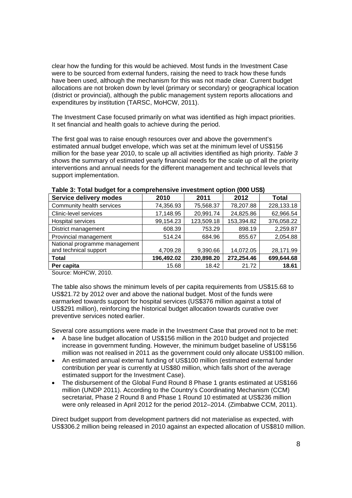clear how the funding for this would be achieved. Most funds in the Investment Case were to be sourced from external funders, raising the need to track how these funds have been used, although the mechanism for this was not made clear. Current budget allocations are not broken down by level (primary or secondary) or geographical location (district or provincial), although the public management system reports allocations and expenditures by institution (TARSC, MoHCW, 2011).

The Investment Case focused primarily on what was identified as high impact priorities. It set financial and health goals to achieve during the period.

The first goal was to raise enough resources over and above the government's estimated annual budget envelope, which was set at the minimum level of US\$156 million for the base year 2010, to scale up all activities identified as high priority. *Table 3*  shows the summary of estimated yearly financial needs for the scale up of all the priority interventions and annual needs for the different management and technical levels that support implementation.

| Service delivery modes        | 2010       | 2011       | 2012       | Total      |
|-------------------------------|------------|------------|------------|------------|
| Community health services     | 74,356.93  | 75,568.37  | 78,207.88  | 228,133.18 |
| Clinic-level services         | 17,148.95  | 20,991.74  | 24,825.86  | 62,966.54  |
| <b>Hospital services</b>      | 99,154.23  | 123,509.18 | 153,394.82 | 376,058.22 |
| District management           | 608.39     | 753.29     | 898.19     | 2,259.87   |
| Provincial management         | 514.24     | 684.96     | 855.67     | 2,054.88   |
| National programme management |            |            |            |            |
| and technical support         | 4,709.28   | 9,390.66   | 14,072.05  | 28,171.99  |
| Total                         | 196,492.02 | 230,898.20 | 272,254.46 | 699,644.68 |
| Per capita                    | 15.68      | 18.42      | 21.72      | 18.61      |

| Table 3: Total budget for a comprehensive investment option (000 US\$) |  |  |  |
|------------------------------------------------------------------------|--|--|--|
|------------------------------------------------------------------------|--|--|--|

Source: MoHCW, 2010.

The table also shows the minimum levels of per capita requirements from US\$15.68 to US\$21.72 by 2012 over and above the national budget. Most of the funds were earmarked towards support for hospital services (US\$376 million against a total of US\$291 million), reinforcing the historical budget allocation towards curative over preventive services noted earlier.

Several core assumptions were made in the Investment Case that proved not to be met:

- A base line budget allocation of US\$156 million in the 2010 budget and projected increase in government funding. However, the minimum budget baseline of US\$156 million was not realised in 2011 as the government could only allocate US\$100 million.
- An estimated annual external funding of US\$100 million (estimated external funder contribution per year is currently at US\$80 million, which falls short of the average estimated support for the Investment Case).
- The disbursement of the Global Fund Round 8 Phase 1 grants estimated at US\$166 million (UNDP 2011). According to the Country's Coordinating Mechanism (CCM) secretariat, Phase 2 Round 8 and Phase 1 Round 10 estimated at US\$236 million were only released in April 2012 for the period 2012–2014. (Zimbabwe CCM, 2011).

Direct budget support from development partners did not materialise as expected, with US\$306.2 million being released in 2010 against an expected allocation of US\$810 million.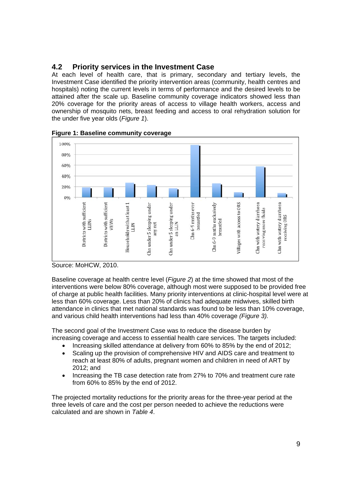### **4.2 Priority services in the Investment Case**

At each level of health care, that is primary, secondary and tertiary levels, the Investment Case identified the priority intervention areas (community, health centres and hospitals) noting the current levels in terms of performance and the desired levels to be attained after the scale up. Baseline community coverage indicators showed less than 20% coverage for the priority areas of access to village health workers, access and ownership of mosquito nets, breast feeding and access to oral rehydration solution for the under five year olds (*Figure 1*).



**Figure 1: Baseline community coverage** 



Baseline coverage at health centre level (*Figure 2*) at the time showed that most of the interventions were below 80% coverage, although most were supposed to be provided free of charge at public health facilities. Many priority interventions at clinic-hospital level were at less than 60% coverage. Less than 20% of clinics had adequate midwives, skilled birth attendance in clinics that met national standards was found to be less than 10% coverage, and various child health interventions had less than 40% coverage *(Figure 3).*

The second goal of the Investment Case was to reduce the disease burden by increasing coverage and access to essential health care services. The targets included:

- Increasing skilled attendance at delivery from 60% to 85% by the end of 2012;
- Scaling up the provision of comprehensive HIV and AIDS care and treatment to reach at least 80% of adults, pregnant women and children in need of ART by 2012; and
- Increasing the TB case detection rate from 27% to 70% and treatment cure rate from 60% to 85% by the end of 2012.

The projected mortality reductions for the priority areas for the three-year period at the three levels of care and the cost per person needed to achieve the reductions were calculated and are shown in *Table 4*.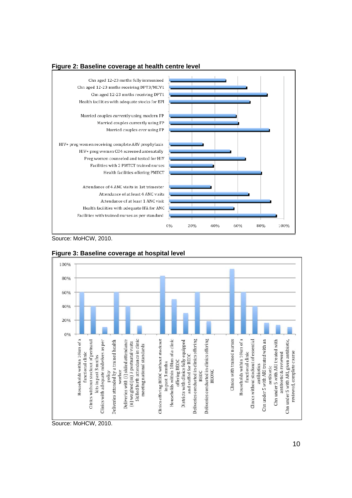



Source: MoHCW, 2010.



**Figure 3: Baseline coverage at hospital level** 

Source: MoHCW, 2010.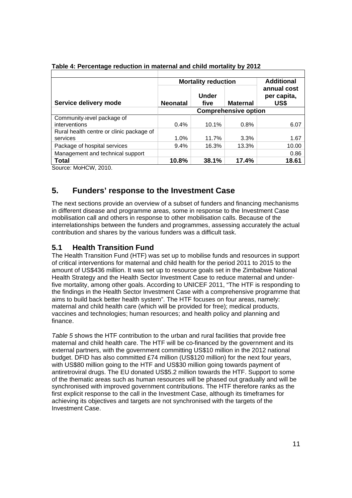|                                          |                             | <b>Mortality reduction</b> |                 | <b>Additional</b><br>annual cost<br>per capita,<br>US\$ |  |
|------------------------------------------|-----------------------------|----------------------------|-----------------|---------------------------------------------------------|--|
| Service delivery mode                    | <b>Neonatal</b>             | Under<br>five              | <b>Maternal</b> |                                                         |  |
|                                          | <b>Comprehensive option</b> |                            |                 |                                                         |  |
| Community-level package of               |                             |                            |                 |                                                         |  |
| interventions                            | 0.4%                        | 10.1%                      | 0.8%            | 6.07                                                    |  |
| Rural health centre or clinic package of |                             |                            |                 |                                                         |  |
| services                                 | 1.0%                        | 11.7%                      | 3.3%            | 1.67                                                    |  |
| Package of hospital services             | 9.4%                        | 16.3%                      | 13.3%           | 10.00                                                   |  |
| Management and technical support         |                             |                            |                 | 0.86                                                    |  |
| Total                                    | 10.8%                       | 38.1%                      | 17.4%           | 18.61                                                   |  |

| Table 4: Percentage reduction in maternal and child mortality by 2012 |  |  |  |
|-----------------------------------------------------------------------|--|--|--|
|                                                                       |  |  |  |

Source: MoHCW, 2010.

# **5. Funders' response to the Investment Case**

The next sections provide an overview of a subset of funders and financing mechanisms in different disease and programme areas, some in response to the Investment Case mobilisation call and others in response to other mobilisation calls. Because of the interrelationships between the funders and programmes, assessing accurately the actual contribution and shares by the various funders was a difficult task.

### **5.1 Health Transition Fund**

The Health Transition Fund (HTF) was set up to mobilise funds and resources in support of critical interventions for maternal and child health for the period 2011 to 2015 to the amount of US\$436 million. It was set up to resource goals set in the Zimbabwe National Health Strategy and the Health Sector Investment Case to reduce maternal and underfive mortality, among other goals. According to UNICEF 2011, "The HTF is responding to the findings in the Health Sector Investment Case with a comprehensive programme that aims to build back better health system". The HTF focuses on four areas, namely: maternal and child health care (which will be provided for free); medical products, vaccines and technologies; human resources; and health policy and planning and finance.

*Table 5* shows the HTF contribution to the urban and rural facilities that provide free maternal and child health care. The HTF will be co-financed by the government and its external partners, with the government committing US\$10 million in the 2012 national budget. DFID has also committed £74 million (US\$120 million) for the next four years, with US\$80 million going to the HTF and US\$30 million going towards payment of antiretroviral drugs. The EU donated US\$5.2 million towards the HTF. Support to some of the thematic areas such as human resources will be phased out gradually and will be synchronised with improved government contributions. The HTF therefore ranks as the first explicit response to the call in the Investment Case, although its timeframes for achieving its objectives and targets are not synchronised with the targets of the Investment Case.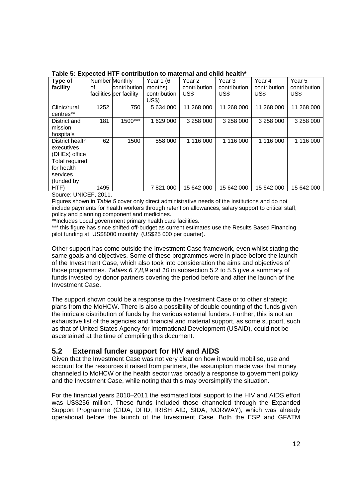| Type of<br>facility   | Number Monthly<br>οf | contribution<br>facilities per facility | Year 1 (6<br>months)<br>contribution | Year <sub>2</sub><br>contribution<br>US\$ | Year 3<br>contribution<br>US\$ | Year 4<br>contribution<br>US\$ | Year 5<br>contribution<br>US\$ |
|-----------------------|----------------------|-----------------------------------------|--------------------------------------|-------------------------------------------|--------------------------------|--------------------------------|--------------------------------|
| Clinic/rural          | 1252                 | 750                                     | <b>US\$)</b><br>5 634 000            | 268 000<br>11                             | 11 268 000                     | 11 268 000                     | 11 268 000                     |
| centres**             |                      |                                         |                                      |                                           |                                |                                |                                |
| District and          | 181                  | 1500***                                 | 1 629 000                            | 3 258 000                                 | 3 258 000                      | 3 258 000                      | 3 258 000                      |
| mission<br>hospitals  |                      |                                         |                                      |                                           |                                |                                |                                |
| District health       | 62                   | 1500                                    | 558 000                              | 1 116 000                                 | 1 116 000                      | 1 116 000                      | 1 116 000                      |
| executives            |                      |                                         |                                      |                                           |                                |                                |                                |
| (DHEs) office         |                      |                                         |                                      |                                           |                                |                                |                                |
| <b>Total required</b> |                      |                                         |                                      |                                           |                                |                                |                                |
| for health            |                      |                                         |                                      |                                           |                                |                                |                                |
| services              |                      |                                         |                                      |                                           |                                |                                |                                |
| (funded by            |                      |                                         |                                      |                                           |                                |                                |                                |
| HTF)                  | 1495                 |                                         | 7821000                              | 15 642 000                                | 15 642 000                     | 15 642 000                     | 15 642 000                     |

#### **Table 5: Expected HTF contribution to maternal and child health\***

Source: UNICEF, 2011.

Figures shown in *Table 5* cover only direct administrative needs of the institutions and do not include payments for health workers through retention allowances, salary support to critical staff, policy and planning component and medicines.

\*\*Includes Local government primary health care facilities.

\*\*\* this figure has since shifted off-budget as current estimates use the Results Based Financing pilot funding at US\$8000 monthly (US\$25 000 per quarter).

Other support has come outside the Investment Case framework, even whilst stating the same goals and objectives. Some of these programmes were in place before the launch of the Investment Case, which also took into consideration the aims and objectives of those programmes. *Tables 6,7,8,9* and *10* in subsection 5.2 to 5.5 give a summary of funds invested by donor partners covering the period before and after the launch of the Investment Case.

The support shown could be a response to the Investment Case or to other strategic plans from the MoHCW. There is also a possibility of double counting of the funds given the intricate distribution of funds by the various external funders. Further, this is not an exhaustive list of the agencies and financial and material support, as some support, such as that of United States Agency for International Development (USAID), could not be ascertained at the time of compiling this document.

### **5.2 External funder support for HIV and AIDS**

Given that the Investment Case was not very clear on how it would mobilise, use and account for the resources it raised from partners, the assumption made was that money channeled to MoHCW or the health sector was broadly a response to government policy and the Investment Case, while noting that this may oversimplify the situation.

For the financial years 2010–2011 the estimated total support to the HIV and AIDS effort was US\$256 million. These funds included those channeled through the Expanded Support Programme (CIDA, DFID, IRISH AID, SIDA, NORWAY), which was already operational before the launch of the Investment Case. Both the ESP and GFATM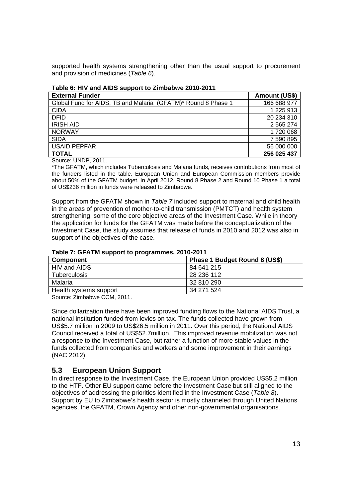supported health systems strengthening other than the usual support to procurement and provision of medicines (*Table 6*).

| <b>External Funder</b>                                        | Amount (US\$) |
|---------------------------------------------------------------|---------------|
| Global Fund for AIDS, TB and Malaria (GFATM)* Round 8 Phase 1 | 166 688 977   |
| <b>CIDA</b>                                                   | 1 225 913     |
| <b>DFID</b>                                                   | 20 234 310    |
| <b>IRISH AID</b>                                              | 2 565 274     |
| <b>NORWAY</b>                                                 | 1720 068      |
| <b>SIDA</b>                                                   | 7 590 895     |
| <b>USAID PEPFAR</b>                                           | 56 000 000    |
| <b>TOTAL</b>                                                  | 256 025 437   |

#### **Table 6: HIV and AIDS support to Zimbabwe 2010-2011**

Source: UNDP, 2011.

\*The GFATM, which includes Tuberculosis and Malaria funds, receives contributions from most of the funders listed in the table. European Union and European Commission members provide about 50% of the GFATM budget. In April 2012, Round 8 Phase 2 and Round 10 Phase 1 a total of US\$236 million in funds were released to Zimbabwe.

Support from the GFATM shown in *Table 7* included support to maternal and child health in the areas of prevention of mother-to-child transmission (PMTCT) and health system strengthening, some of the core objective areas of the Investment Case. While in theory the application for funds for the GFATM was made before the conceptualization of the Investment Case, the study assumes that release of funds in 2010 and 2012 was also in support of the objectives of the case.

| Component              | Phase 1 Budget Round 8 (US\$) |
|------------------------|-------------------------------|
| HIV and AIDS           | 84 641 215                    |
| Tuberculosis           | 28 236 112                    |
| Malaria                | 32 810 290                    |
| Health systems support | 34 271 524                    |

#### **Table 7: GFATM support to programmes, 2010-2011**

Source: Zimbabwe CCM, 2011.

Since dollarization there have been improved funding flows to the National AIDS Trust, a national institution funded from levies on tax. The funds collected have grown from US\$5.7 million in 2009 to US\$26.5 million in 2011. Over this period, the National AIDS Council received a total of US\$52.7million. This improved revenue mobilization was not a response to the Investment Case, but rather a function of more stable values in the funds collected from companies and workers and some improvement in their earnings (NAC 2012).

### **5.3 European Union Support**

In direct response to the Investment Case, the European Union provided US\$5.2 million to the HTF. Other EU support came before the Investment Case but still aligned to the objectives of addressing the priorities identified in the Investment Case (*Table 8*). Support by EU to Zimbabwe's health sector is mostly channeled through United Nations agencies, the GFATM, Crown Agency and other non-governmental organisations.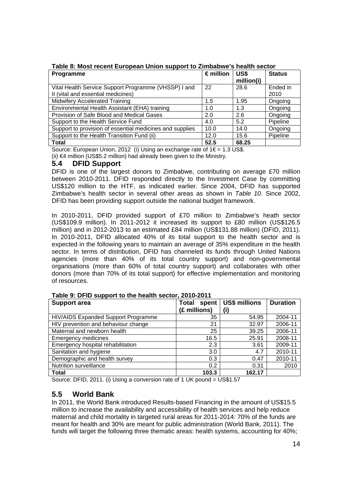| <b>Programme</b>                                         | $\epsilon$ million | US\$<br>million(i) | <b>Status</b> |
|----------------------------------------------------------|--------------------|--------------------|---------------|
| Vital Health Service Support Programme (VHSSP) I and     | 22                 | 28.6               | Ended in      |
| II (vital and essential medicines)                       |                    |                    | 2010          |
| <b>Midwifery Accelerated Training</b>                    | 1.5                | 1.95               | Ongoing       |
| Environmental Health Assistant (EHA) training            | 1.0                | 1.3                | Ongoing       |
| Provision of Safe Blood and Medical Gases                | 2.0                | 2.6                | Ongoing       |
| Support to the Health Service Fund                       | 4.0                | 5.2                | Pipeline      |
| Support to provision of essential medicines and supplies | 10.0               | 14.0               | Ongoing       |
| Support to the Health Transition Fund (ii)               | 12.0               | 15.6               | Pipeline      |
| <b>Total</b>                                             | 52.5               | 68.25              |               |

**Table 8: Most recent European Union support to Zimbabwe's health sector** 

Source: European Union, 2012 (i) Using an exchange rate of  $1 \in = 1.3$  US\$. (ii) €4 million (US\$5.2 million) had already been given to the Ministry.

**5.4 DFID Support** 

DFID is one of the largest donors to Zimbabwe, contributing on average £70 million between 2010-2011. DFID responded directly to the Investment Case by committing US\$120 million to the HTF, as indicated earlier. Since 2004, DFID has supported Zimbabwe's health sector in several other areas as shown in *Table 10*. Since 2002, DFID has been providing support outside the national budget framework.

In 2010-2011, DFID provided support of £70 million to Zimbabwe's heath sector (US\$109.9 million). In 2011-2012 it increased its support to £80 million (US\$126.5 million) and in 2012-2013 to an estimated £84 million (US\$131.88 million) (DFID, 2011). In 2010-2011, DFID allocated 40% of its total support to the health sector and is expected in the following years to maintain an average of 35% expenditure in the health sector. In terms of distribution, DFID has channeled its funds through United Nations agencies (more than 40% of its total country support) and non-governmental organisations (more than 60% of total country support) and collaborates with other donors (more than 70% of its total support) for effective implementation and monitoring of resources.

| <b>Support area</b>                 | <b>Total</b><br>spent | <b>US\$ millions</b> | <b>Duration</b> |
|-------------------------------------|-----------------------|----------------------|-----------------|
|                                     | (£ millions)          | (i)                  |                 |
| HIV/AIDS Expanded Support Programme | 35                    | 54.95                | 2004-11         |
| HIV prevention and behaviour change | 21                    | 32.97                | 2006-11         |
| Maternal and newborn health         | 25                    | 39.25                | 2006-11         |
| <b>Emergency medicines</b>          | 16.5                  | 25.91                | 2008-11         |
| Emergency hospital rehabilitation   | 2.3                   | 3.61                 | 2009-11         |
| Sanitation and hygiene              | 3.0                   | 4.7                  | 2010-11         |
| Demographic and health survey       | 0.3                   | 0.47                 | 2010-11         |
| <b>Nutrition surveillance</b>       | 0.2                   | 0.31                 | 2010            |
| Total                               | 103.3                 | 162.17               |                 |

**Table 9: DFID support to the health sector, 2010-2011** 

Source: DFID, 2011. (i) Using a conversion rate of 1 UK pound = US\$1.57

### **5.5 World Bank**

In 2011, the World Bank introduced Results-based Financing in the amount of US\$15.5 million to increase the availability and accessibility of health services and help reduce maternal and child mortality in targeted rural areas for 2011-2014: 70% of the funds are meant for health and 30% are meant for public administration (World Bank, 2011). The funds will target the following three thematic areas: health systems, accounting for 40%;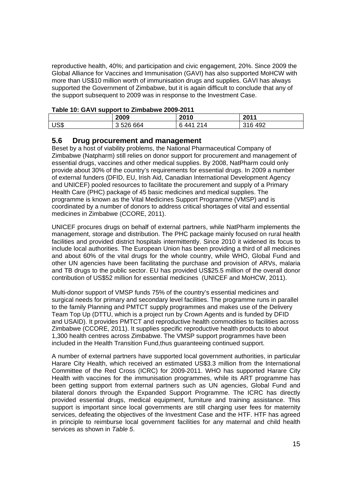reproductive health, 40%; and participation and civic engagement, 20%. Since 2009 the Global Alliance for Vaccines and Immunisation (GAVI) has also supported MoHCW with more than US\$10 million worth of immunisation drugs and supplies. GAVI has always supported the Government of Zimbabwe, but it is again difficult to conclude that any of the support subsequent to 2009 was in response to the Investment Case.

| Table TV: GAVI Support to Zimbabwe 2009-2011 |           |           |         |
|----------------------------------------------|-----------|-----------|---------|
|                                              | 2009      | 2010      | 2011    |
| US <sub>3</sub>                              | 3 526 664 | ճ 441 214 | 316 492 |

### **Table 10: GAVI support to Zimbabwe 2009-2011**

### **5.6 Drug procurement and management**

Beset by a host of viability problems, the National Pharmaceutical Company of Zimbabwe (Natpharm) still relies on donor support for procurement and management of essential drugs, vaccines and other medical supplies. By 2008, NatPharm could only provide about 30% of the country's requirements for essential drugs. In 2009 a number of external funders (DFID, EU, Irish Aid, Canadian International Development Agency and UNICEF) pooled resources to facilitate the procurement and supply of a Primary Health Care (PHC) package of 45 basic medicines and medical supplies. The programme is known as the Vital Medicines Support Programme (VMSP) and is coordinated by a number of donors to address critical shortages of vital and essential medicines in Zimbabwe (CCORE, 2011).

UNICEF procures drugs on behalf of external partners, while NatPharm implements the management, storage and distribution. The PHC package mainly focused on rural health facilities and provided district hospitals intermittently. Since 2010 it widened its focus to include local authorities. The European Union has been providing a third of all medicines and about 60% of the vital drugs for the whole country, while WHO, Global Fund and other UN agencies have been facilitating the purchase and provision of ARVs, malaria and TB drugs to the public sector. EU has provided US\$25.5 million of the overall donor contribution of US\$52 million for essential medicines (UNICEF and MoHCW, 2011).

Multi-donor support of VMSP funds 75% of the country's essential medicines and surgical needs for primary and secondary level facilities. The programme runs in parallel to the family Planning and PMTCT supply programmes and makes use of the Delivery Team Top Up (DTTU, which is a project run by Crown Agents and is funded by DFID and USAID). It provides PMTCT and reproductive health commodities to facilities across Zimbabwe (CCORE, 2011). It supplies specific reproductive health products to about 1,300 health centres across Zimbabwe. The VMSP support programmes have been included in the Health Transition Fund,thus guaranteeing continued support.

A number of external partners have supported local government authorities, in particular Harare City Health, which received an estimated US\$3.3 million from the International Committee of the Red Cross (ICRC) for 2009-2011. WHO has supported Harare City Health with vaccines for the immunisation programmes, while its ART programme has been getting support from external partners such as UN agencies, Global Fund and bilateral donors through the Expanded Support Programme. The ICRC has directly provided essential drugs, medical equipment, furniture and training assistance. This support is important since local governments are still charging user fees for maternity services, defeating the objectives of the Investment Case and the HTF. HTF has agreed in principle to reimburse local government facilities for any maternal and child health services as shown in *Table 5*.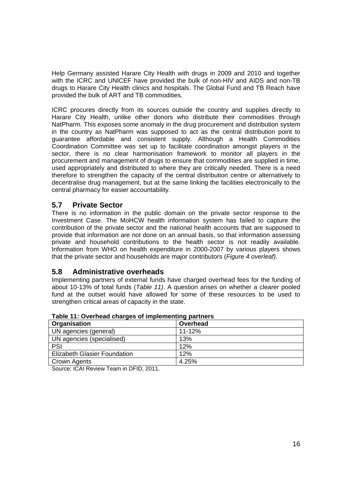Help Germany assisted Harare City Health with drugs in 2009 and 2010 and together with the ICRC and UNICEF have provided the bulk of non-HIV and AIDS and non-TB drugs to Harare City Health clinics and hospitals. The Global Fund and TB Reach have provided the bulk of ART and TB commodities.

ICRC procures directly from its sources outside the country and supplies directly to Harare City Health, unlike other donors who distribute their commodities through NatPharm. This exposes some anomaly in the drug procurement and distribution system in the country as NatPharm was supposed to act as the central distribution point to guarantee affordable and consistent supply. Although a Health Commodities Coordination Committee was set up to facilitate coordination amongst players in the sector, there is no clear harmonisation framework to monitor all players in the procurement and management of drugs to ensure that commodities are supplied in time, used appropriately and distributed to where they are critically needed. There is a need therefore to strengthen the capacity of the central distribution centre or alternatively to decentralise drug management, but at the same linking the facilities electronically to the central pharmacy for easier accountability.

### **5.7 Private Sector**

There is no information in the public domain on the private sector response to the Investment Case. The MoHCW health information system has failed to capture the contribution of the private sector and the national health accounts that are supposed to provide that information are not done on an annual basis, so that information assessing private and household contributions to the health sector is not readily available. Information from WHO on health expenditure in 2000-2007 by various players shows that the private sector and households are major contributors (*Figure 4 overleaf).*

### **5.8 Administrative overheads**

Implementing partners of external funds have charged overhead fees for the funding of about 10-13% of total funds (*Table 11)*. A question arises on whether a clearer pooled fund at the outset would have allowed for some of these resources to be used to strengthen critical areas of capacity in the state.

| Organisation                        | Overhead   |
|-------------------------------------|------------|
| UN agencies (general)               | $11 - 12%$ |
| UN agencies (specialised)           | 13%        |
| PSI                                 | 12%        |
| <b>Elizabeth Glasier Foundation</b> | 12%        |
| Crown Agents                        | 4.25%      |

**Table 11: Overhead charges of implementing partners** 

Source: ICAI Review Team in DFID, 2011.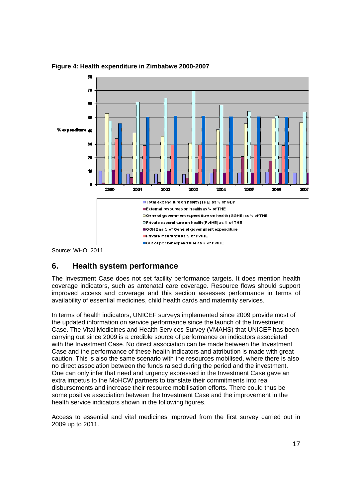

**Figure 4: Health expenditure in Zimbabwe 2000-2007** 

Source: WHO, 2011

### **6. Health system performance**

The Investment Case does not set facility performance targets. It does mention health coverage indicators, such as antenatal care coverage. Resource flows should support improved access and coverage and this section assesses performance in terms of availability of essential medicines, child health cards and maternity services.

In terms of health indicators, UNICEF surveys implemented since 2009 provide most of the updated information on service performance since the launch of the Investment Case. The Vital Medicines and Health Services Survey (VMAHS) that UNICEF has been carrying out since 2009 is a credible source of performance on indicators associated with the Investment Case. No direct association can be made between the Investment Case and the performance of these health indicators and attribution is made with great caution. This is also the same scenario with the resources mobilised, where there is also no direct association between the funds raised during the period and the investment. One can only infer that need and urgency expressed in the Investment Case gave an extra impetus to the MoHCW partners to translate their commitments into real disbursements and increase their resource mobilisation efforts. There could thus be some positive association between the Investment Case and the improvement in the health service indicators shown in the following figures.

Access to essential and vital medicines improved from the first survey carried out in 2009 up to 2011.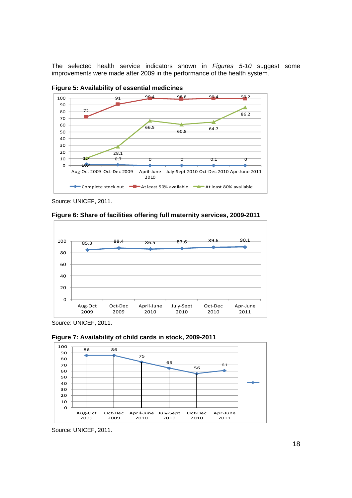The selected health service indicators shown in *Figures 5-10* suggest some improvements were made after 2009 in the performance of the health system.



**Figure 5: Availability of essential medicines** 

Source: UNICEF, 2011.



**Figure 6: Share of facilities offering full maternity services, 2009-2011** 

Source: UNICEF, 2011.





Source: UNICEF, 2011.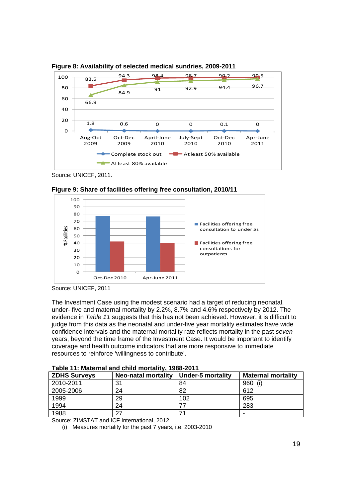

**Figure 8: Availability of selected medical sundries, 2009-2011** 

Source: UNICEF, 2011.



**Figure 9: Share of facilities offering free consultation, 2010/11** 

The Investment Case using the modest scenario had a target of reducing neonatal, under- five and maternal mortality by 2.2%, 8.7% and 4.6% respectively by 2012. The evidence in *Table 11* suggests that this has not been achieved. However, it is difficult to judge from this data as the neonatal and under-five year mortality estimates have wide confidence intervals and the maternal mortality rate reflects mortality in the past *seven* years, beyond the time frame of the Investment Case. It would be important to identify coverage and health outcome indicators that are more responsive to immediate resources to reinforce 'willingness to contribute'.

| <b>ZDHS Surveys</b> | <b>Neo-natal mortality</b> | <b>Under-5 mortality</b> | <b>Maternal mortality</b> |
|---------------------|----------------------------|--------------------------|---------------------------|
| 2010-2011           | 31                         | 84                       | 960<br>(i)                |
| 2005-2006           | 24                         | 82                       | 612                       |
| 1999                | 29                         | 102                      | 695                       |
| 1994                | 24                         |                          | 283                       |
| 1988                | 27                         |                          | $\overline{\phantom{0}}$  |

**Table 11: Maternal and child mortality, 1988-2011** 

Source: ZIMSTAT and ICF International, 2012

(i) Measures mortality for the past 7 years, i.e. 2003-2010

Source: UNICEF, 2011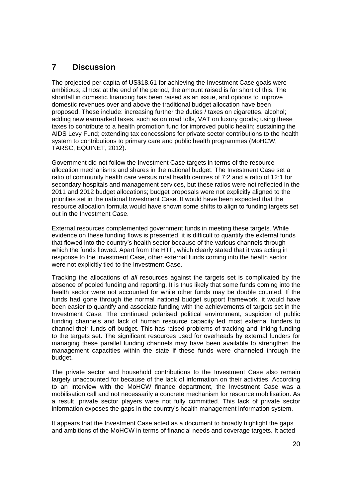### **7 Discussion**

The projected per capita of US\$18.61 for achieving the Investment Case goals were ambitious; almost at the end of the period, the amount raised is far short of this. The shortfall in domestic financing has been raised as an issue, and options to improve domestic revenues over and above the traditional budget allocation have been proposed. These include: increasing further the duties / taxes on cigarettes, alcohol; adding new earmarked taxes, such as on road tolls, VAT on luxury goods; using these taxes to contribute to a health promotion fund for improved public health; sustaining the AIDS Levy Fund; extending tax concessions for private sector contributions to the health system to contributions to primary care and public health programmes (MoHCW, TARSC, EQUINET, 2012).

Government did not follow the Investment Case targets in terms of the resource allocation mechanisms and shares in the national budget: The Investment Case set a ratio of community health care versus rural health centres of 7:2 and a ratio of 12:1 for secondary hospitals and management services, but these ratios were not reflected in the 2011 and 2012 budget allocations; budget proposals were not explicitly aligned to the priorities set in the national Investment Case. It would have been expected that the resource allocation formula would have shown some shifts to align to funding targets set out in the Investment Case.

External resources complemented government funds in meeting these targets. While evidence on these funding flows is presented, it is difficult to quantify the external funds that flowed into the country's health sector because of the various channels through which the funds flowed. Apart from the HTF, which clearly stated that it was acting in response to the Investment Case, other external funds coming into the health sector were not explicitly tied to the Investment Case.

Tracking the allocations of *all* resources against the targets set is complicated by the absence of pooled funding and reporting. It is thus likely that some funds coming into the health sector were not accounted for while other funds may be double counted. If the funds had gone through the normal national budget support framework, it would have been easier to quantify and associate funding with the achievements of targets set in the Investment Case. The continued polarised political environment, suspicion of public funding channels and lack of human resource capacity led most external funders to channel their funds off budget. This has raised problems of tracking and linking funding to the targets set. The significant resources used for overheads by external funders for managing these parallel funding channels may have been available to strengthen the management capacities within the state if these funds were channeled through the budget.

The private sector and household contributions to the Investment Case also remain largely unaccounted for because of the lack of information on their activities. According to an interview with the MoHCW finance department, the Investment Case was a mobilisation call and not necessarily a concrete mechanism for resource mobilisation. As a result, private sector players were not fully committed. This lack of private sector information exposes the gaps in the country's health management information system.

It appears that the Investment Case acted as a document to broadly highlight the gaps and ambitions of the MoHCW in terms of financial needs and coverage targets. It acted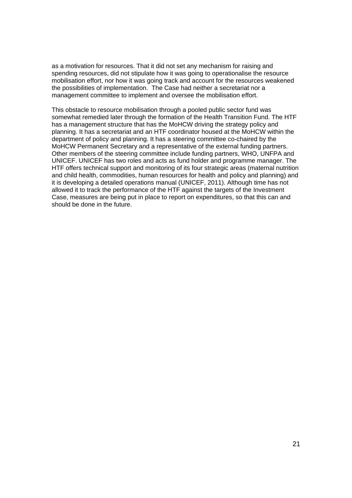as a motivation for resources. That it did not set any mechanism for raising and spending resources, did not stipulate how it was going to operationalise the resource mobilisation effort, nor how it was going track and account for the resources weakened the possibilities of implementation. The Case had neither a secretariat nor a management committee to implement and oversee the mobilisation effort.

This obstacle to resource mobilisation through a pooled public sector fund was somewhat remedied later through the formation of the Health Transition Fund. The HTF has a management structure that has the MoHCW driving the strategy policy and planning. It has a secretariat and an HTF coordinator housed at the MoHCW within the department of policy and planning. It has a steering committee co-chaired by the MoHCW Permanent Secretary and a representative of the external funding partners. Other members of the steering committee include funding partners, WHO, UNFPA and UNICEF. UNICEF has two roles and acts as fund holder and programme manager. The HTF offers technical support and monitoring of its four strategic areas (maternal nutrition and child health, commodities, human resources for health and policy and planning) and it is developing a detailed operations manual (UNICEF, 2011). Although time has not allowed it to track the performance of the HTF against the targets of the Investment Case, measures are being put in place to report on expenditures, so that this can and should be done in the future.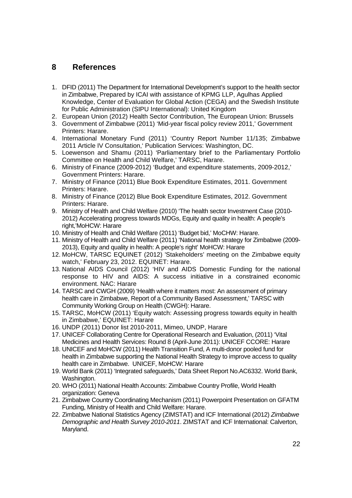### **8 References**

- 1. DFID (2011) The Department for International Development's support to the health sector in Zimbabwe, Prepared by ICAI with assistance of KPMG LLP, Agulhas Applied Knowledge, Center of Evaluation for Global Action (CEGA) and the Swedish Institute for Public Administration (SIPU International): United Kingdom
- 2. European Union (2012) Health Sector Contribution, The European Union: Brussels
- 3. Government of Zimbabwe (2011) 'Mid-year fiscal policy review 2011,' Government Printers: Harare.
- 4. International Monetary Fund (2011) 'Country Report Number 11/135; Zimbabwe 2011 Article IV Consultation,' Publication Services: Washington, DC.
- 5. Loewenson and Shamu (2011) 'Parliamentary brief to the Parliamentary Portfolio Committee on Health and Child Welfare,' TARSC, Harare.
- 6. Ministry of Finance (2009-2012) 'Budget and expenditure statements, 2009-2012,' Government Printers: Harare.
- 7. Ministry of Finance (2011) Blue Book Expenditure Estimates, 2011. Government Printers: Harare.
- 8. Ministry of Finance (2012) Blue Book Expenditure Estimates, 2012. Government Printers: Harare.
- 9. Ministry of Health and Child Welfare (2010) 'The health sector Investment Case (2010- 2012) Accelerating progress towards MDGs, Equity and quality in health: A people's right,'MoHCW: Harare
- 10. Ministry of Health and Child Welfare (2011) 'Budget bid,' MoCHW: Harare.
- 11. Ministry of Health and Child Welfare (2011) 'National health strategy for Zimbabwe (2009- 2013), Equity and quality in health: A people's right' MoHCW: Harare
- 12. MoHCW, TARSC EQUINET (2012) 'Stakeholders' meeting on the Zimbabwe equity watch,' February 23, 2012. EQUINET: Harare.
- 13. National AIDS Council (2012) 'HIV and AIDS Domestic Funding for the national response to HIV and AIDS: A success initiative in a constrained economic environment. NAC: Harare
- 14. TARSC and CWGH (2009) 'Health where it matters most: An assessment of primary health care in Zimbabwe, Report of a Community Based Assessment,' TARSC with Community Working Group on Health (CWGH): Harare.
- 15. TARSC, MoHCW (2011) 'Equity watch: Assessing progress towards equity in health in Zimbabwe,' EQUINET: Harare
- 16. UNDP (2011) Donor list 2010-2011, Mimeo, UNDP, Harare
- 17. UNICEF Collaborating Centre for Operational Research and Evaluation, (2011) 'Vital Medicines and Health Services: Round 8 (April-June 2011): UNICEF CCORE: Harare
- 18. UNICEF and MoHCW (2011) Health Transition Fund, A multi-donor pooled fund for health in Zimbabwe supporting the National Health Strategy to improve access to quality health care in Zimbabwe. UNICEF, MoHCW: Harare
- 19. World Bank (2011) 'Integrated safeguards,' Data Sheet Report No.AC6332. World Bank, Washington.
- 20. WHO (2011) National Health Accounts: Zimbabwe Country Profile, World Health organization: Geneva
- 21. Zimbabwe Country Coordinating Mechanism (2011) Powerpoint Presentation on GFATM Funding, Ministry of Health and Child Welfare: Harare.
- 22. Zimbabwe National Statistics Agency (ZIMSTAT) and ICF International (2012) *Zimbabwe Demographic and Health Survey 2010-2011*. ZIMSTAT and ICF International: Calverton, Maryland.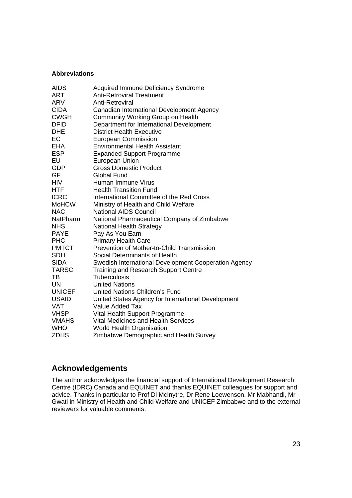#### **Abbreviations**

| <b>AIDS</b>   | Acquired Immune Deficiency Syndrome                  |
|---------------|------------------------------------------------------|
| ART           | <b>Anti-Retroviral Treatment</b>                     |
| ARV           | Anti-Retroviral                                      |
| <b>CIDA</b>   | Canadian International Development Agency            |
| <b>CWGH</b>   | Community Working Group on Health                    |
| <b>DFID</b>   | Department for International Development             |
| <b>DHE</b>    | <b>District Health Executive</b>                     |
| EC            | <b>European Commission</b>                           |
| <b>EHA</b>    | <b>Environmental Health Assistant</b>                |
| <b>ESP</b>    | <b>Expanded Support Programme</b>                    |
| EU            | European Union                                       |
| <b>GDP</b>    | <b>Gross Domestic Product</b>                        |
| GF            | <b>Global Fund</b>                                   |
| HIV           | Human Immune Virus                                   |
| HTF           | <b>Health Transition Fund</b>                        |
| <b>ICRC</b>   | International Committee of the Red Cross             |
| <b>MoHCW</b>  | Ministry of Health and Child Welfare                 |
| <b>NAC</b>    | <b>National AIDS Council</b>                         |
| NatPharm      | National Pharmaceutical Company of Zimbabwe          |
| <b>NHS</b>    | National Health Strategy                             |
| <b>PAYE</b>   | Pay As You Earn                                      |
| <b>PHC</b>    | <b>Primary Health Care</b>                           |
| <b>PMTCT</b>  | Prevention of Mother-to-Child Transmission           |
| <b>SDH</b>    | Social Determinants of Health                        |
| <b>SIDA</b>   | Swedish International Development Cooperation Agency |
| TARSC         | <b>Training and Research Support Centre</b>          |
| ТB            | <b>Tuberculosis</b>                                  |
| UN            | <b>United Nations</b>                                |
| <b>UNICEF</b> | United Nations Children's Fund                       |
| <b>USAID</b>  | United States Agency for International Development   |
| VAT           | Value Added Tax                                      |
| VHSP          | Vital Health Support Programme                       |
| <b>VMAHS</b>  | <b>Vital Medicines and Health Services</b>           |
| <b>WHO</b>    | <b>World Health Organisation</b>                     |
| <b>ZDHS</b>   | Zimbabwe Demographic and Health Survey               |

### **Acknowledgements**

The author acknowledges the financial support of International Development Research Centre (IDRC) Canada and EQUINET and thanks EQUINET colleagues for support and advice. Thanks in particular to Prof Di McInytre, Dr Rene Loewenson, Mr Mabhandi, Mr Gwati in Ministry of Health and Child Welfare and UNICEF Zimbabwe and to the external reviewers for valuable comments.